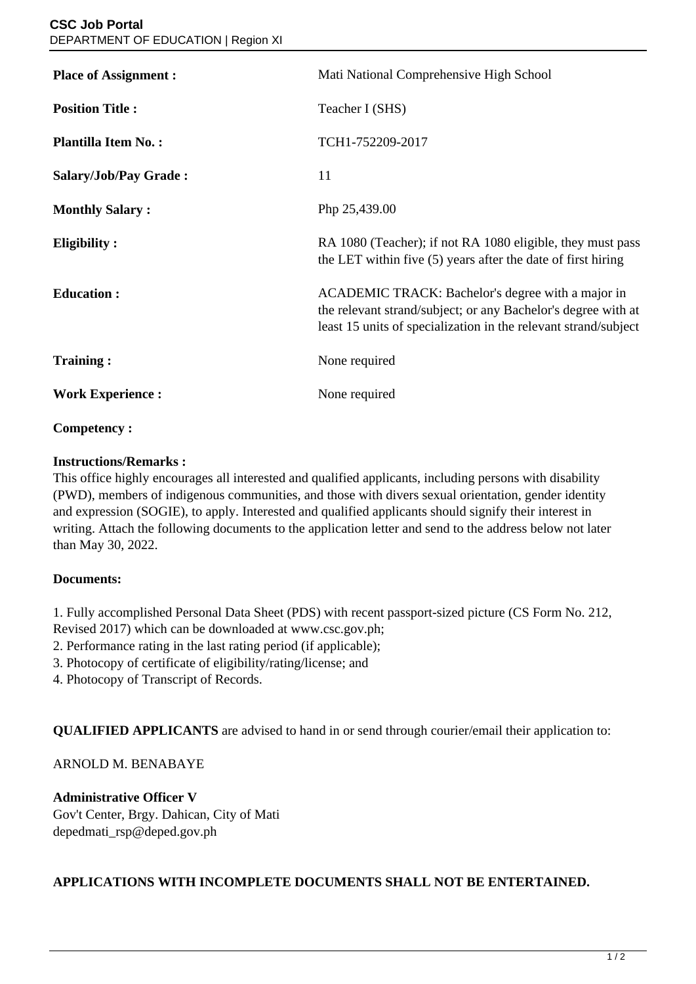| <b>Place of Assignment:</b> | Mati National Comprehensive High School                                                                                                                                               |
|-----------------------------|---------------------------------------------------------------------------------------------------------------------------------------------------------------------------------------|
| <b>Position Title:</b>      | Teacher I (SHS)                                                                                                                                                                       |
| <b>Plantilla Item No.:</b>  | TCH1-752209-2017                                                                                                                                                                      |
| Salary/Job/Pay Grade:       | 11                                                                                                                                                                                    |
| <b>Monthly Salary:</b>      | Php 25,439.00                                                                                                                                                                         |
| <b>Eligibility:</b>         | RA 1080 (Teacher); if not RA 1080 eligible, they must pass<br>the LET within five (5) years after the date of first hiring                                                            |
| <b>Education:</b>           | ACADEMIC TRACK: Bachelor's degree with a major in<br>the relevant strand/subject; or any Bachelor's degree with at<br>least 15 units of specialization in the relevant strand/subject |
| <b>Training:</b>            | None required                                                                                                                                                                         |
| <b>Work Experience:</b>     | None required                                                                                                                                                                         |

# **Competency :**

#### **Instructions/Remarks :**

This office highly encourages all interested and qualified applicants, including persons with disability (PWD), members of indigenous communities, and those with divers sexual orientation, gender identity and expression (SOGIE), to apply. Interested and qualified applicants should signify their interest in writing. Attach the following documents to the application letter and send to the address below not later than May 30, 2022.

## **Documents:**

1. Fully accomplished Personal Data Sheet (PDS) with recent passport-sized picture (CS Form No. 212, Revised 2017) which can be downloaded at www.csc.gov.ph;

- 2. Performance rating in the last rating period (if applicable);
- 3. Photocopy of certificate of eligibility/rating/license; and
- 4. Photocopy of Transcript of Records.

**QUALIFIED APPLICANTS** are advised to hand in or send through courier/email their application to:

## ARNOLD M. BENABAYE

#### **Administrative Officer V**

Gov't Center, Brgy. Dahican, City of Mati depedmati\_rsp@deped.gov.ph

## **APPLICATIONS WITH INCOMPLETE DOCUMENTS SHALL NOT BE ENTERTAINED.**